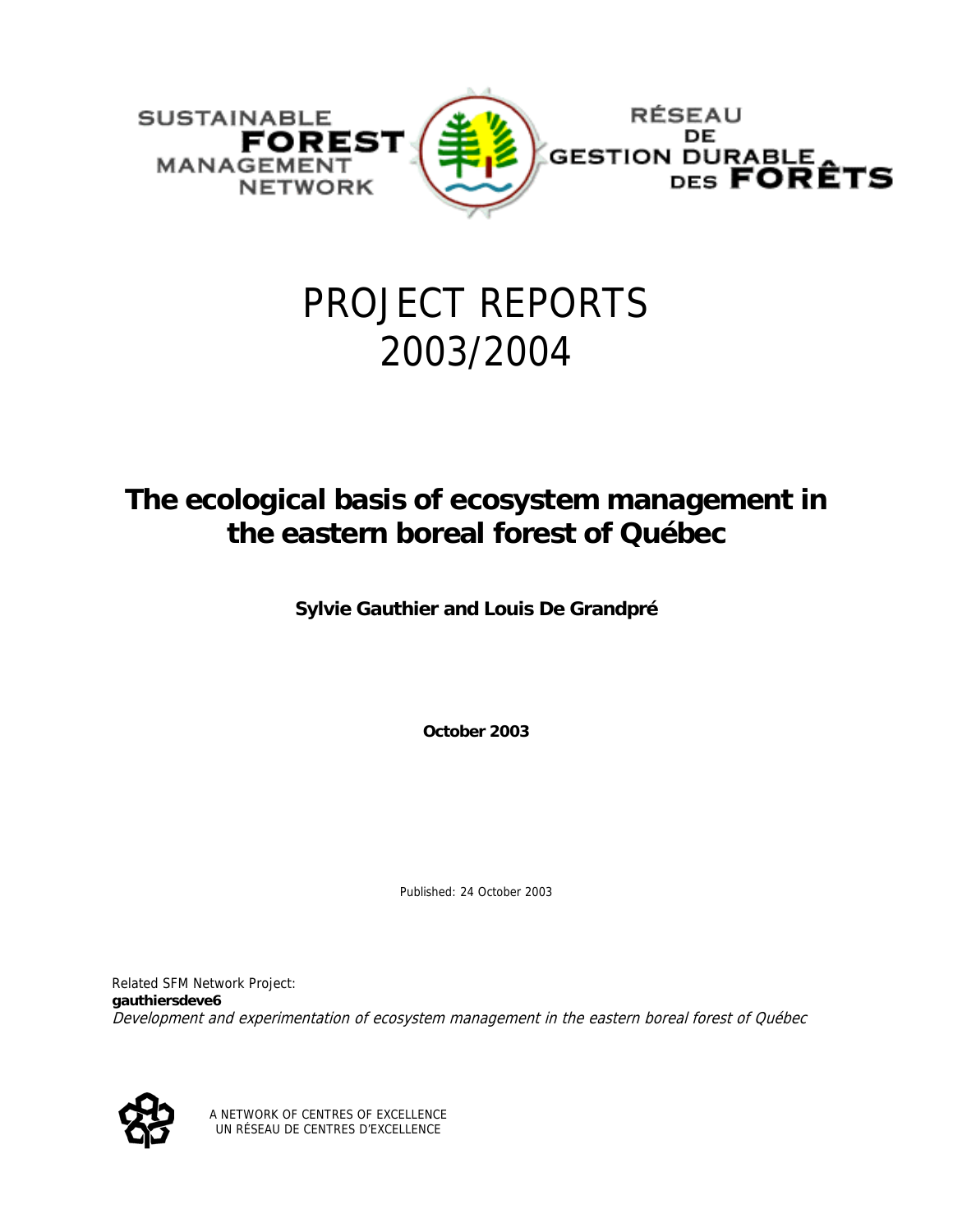

# PROJECT REPORTS 2003/2004

# **The ecological basis of ecosystem management in the eastern boreal forest of Québec**

**Sylvie Gauthier and Louis De Grandpré** 

**October 2003** 

Published: 24 October 2003

Related SFM Network Project: **gauthiersdeve6** Development and experimentation of ecosystem management in the eastern boreal forest of Québec



A NETWORK OF CENTRES OF EXCELLENCE UN RÉSEAU DE CENTRES D'EXCELLENCE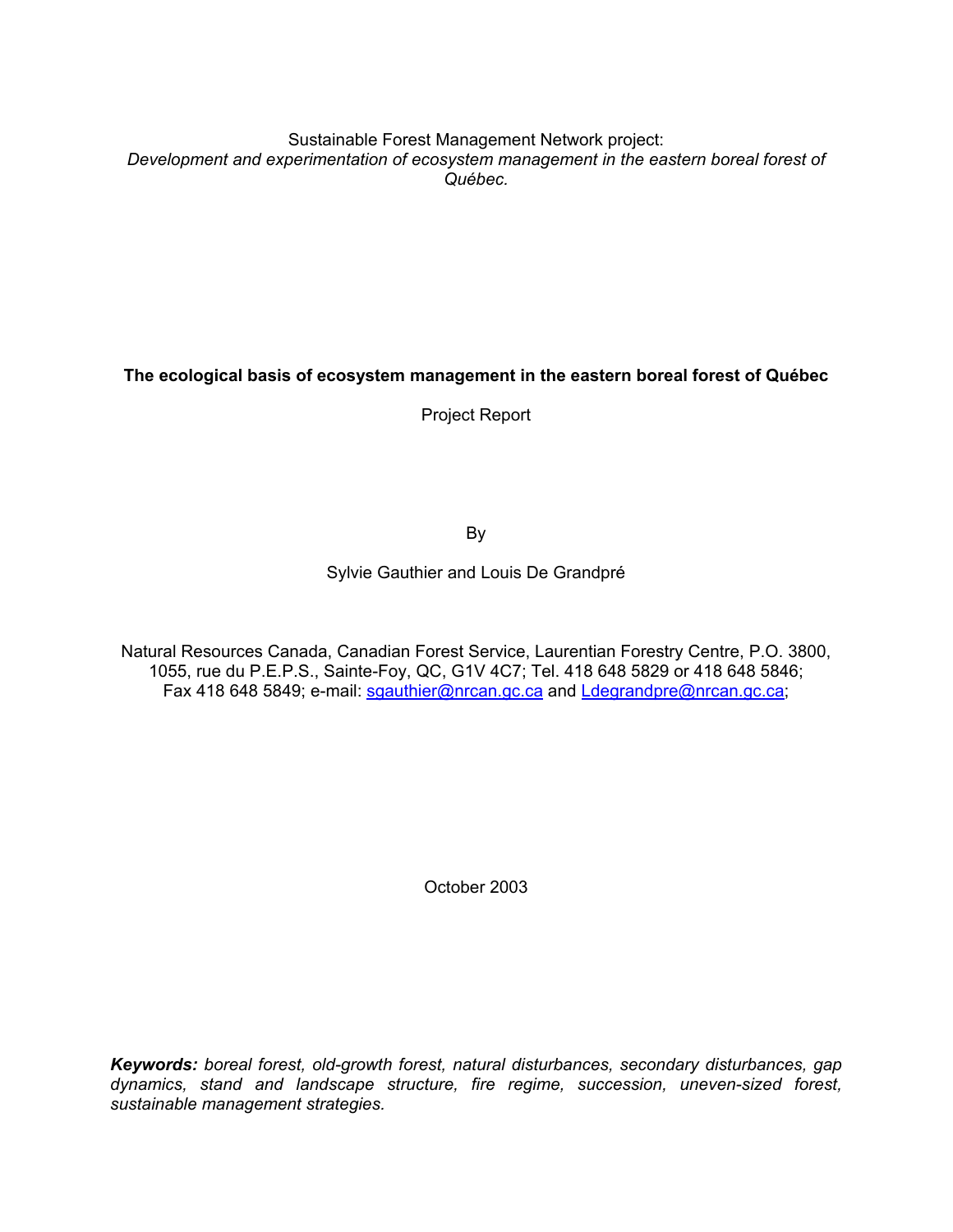Sustainable Forest Management Network project: *Development and experimentation of ecosystem management in the eastern boreal forest of Québec.* 

**The ecological basis of ecosystem management in the eastern boreal forest of Québec** 

Project Report

By

Sylvie Gauthier and Louis De Grandpré

Natural Resources Canada, Canadian Forest Service, Laurentian Forestry Centre, P.O. 3800, 1055, rue du P.E.P.S., Sainte-Foy, QC, G1V 4C7; Tel. 418 648 5829 or 418 648 5846; Fax 418 648 5849; e-mail: [sgauthier@nrcan.gc.ca](mailto:sgauthier@nrcan.gc.ca) and [Ldegrandpre@nrcan.gc.ca](mailto:Ldegrandpre@nrcan.gc.ca);

October 2003

*Keywords: boreal forest, old-growth forest, natural disturbances, secondary disturbances, gap dynamics, stand and landscape structure, fire regime, succession, uneven-sized forest, sustainable management strategies.*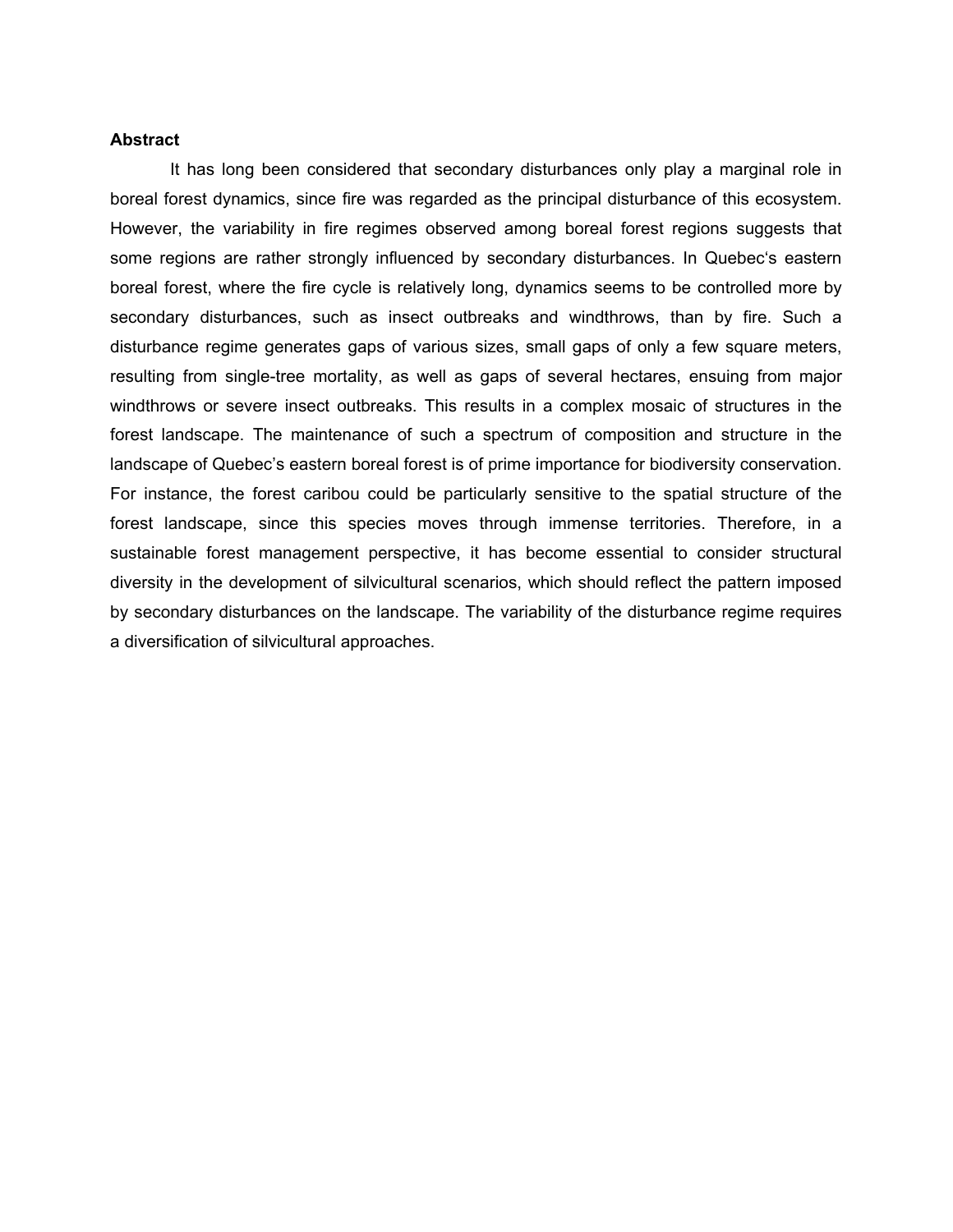#### **Abstract**

It has long been considered that secondary disturbances only play a marginal role in boreal forest dynamics, since fire was regarded as the principal disturbance of this ecosystem. However, the variability in fire regimes observed among boreal forest regions suggests that some regions are rather strongly influenced by secondary disturbances. In Quebec's eastern boreal forest, where the fire cycle is relatively long, dynamics seems to be controlled more by secondary disturbances, such as insect outbreaks and windthrows, than by fire. Such a disturbance regime generates gaps of various sizes, small gaps of only a few square meters, resulting from single-tree mortality, as well as gaps of several hectares, ensuing from major windthrows or severe insect outbreaks. This results in a complex mosaic of structures in the forest landscape. The maintenance of such a spectrum of composition and structure in the landscape of Quebec's eastern boreal forest is of prime importance for biodiversity conservation. For instance, the forest caribou could be particularly sensitive to the spatial structure of the forest landscape, since this species moves through immense territories. Therefore, in a sustainable forest management perspective, it has become essential to consider structural diversity in the development of silvicultural scenarios, which should reflect the pattern imposed by secondary disturbances on the landscape. The variability of the disturbance regime requires a diversification of silvicultural approaches.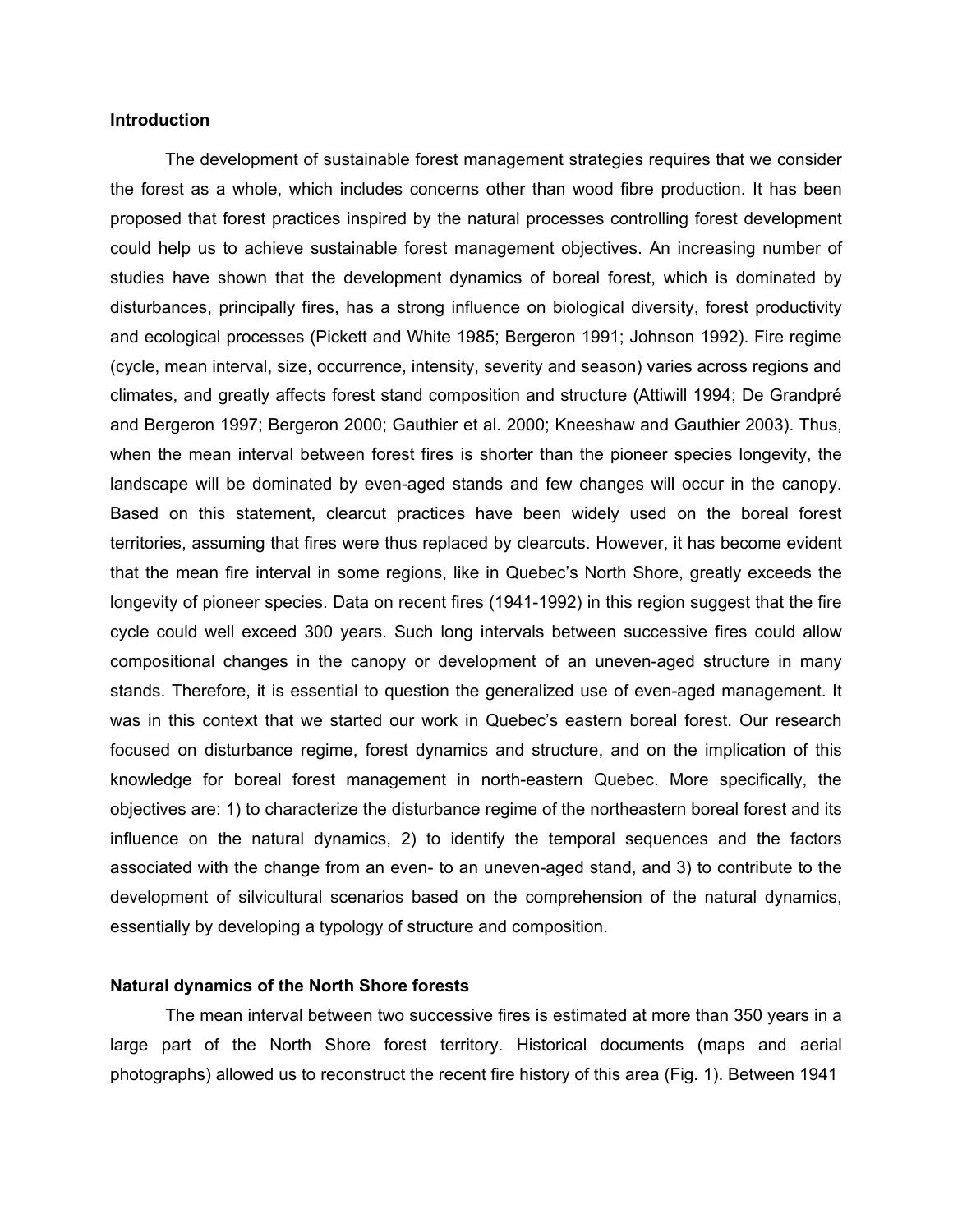## **Introduction**

The development of sustainable forest management strategies requires that we consider the forest as a whole, which includes concerns other than wood fibre production. It has been proposed that forest practices inspired by the natural processes controlling forest development could help us to achieve sustainable forest management objectives. An increasing number of studies have shown that the development dynamics of boreal forest, which is dominated by disturbances, principally fires, has a strong influence on biological diversity, forest productivity and ecological processes (Pickett and White 1985; Bergeron 1991; Johnson 1992). Fire regime (cycle, mean interval, size, occurrence, intensity, severity and season) varies across regions and climates, and greatly affects forest stand composition and structure (Attiwill 1994; De Grandpré and Bergeron 1997; Bergeron 2000; Gauthier et al. 2000; Kneeshaw and Gauthier 2003). Thus, when the mean interval between forest fires is shorter than the pioneer species longevity, the landscape will be dominated by even-aged stands and few changes will occur in the canopy. Based on this statement, clearcut practices have been widely used on the boreal forest territories, assuming that fires were thus replaced by clearcuts. However, it has become evident that the mean fire interval in some regions, like in Quebec's North Shore, greatly exceeds the longevity of pioneer species. Data on recent fires (1941-1992) in this region suggest that the fire cycle could well exceed 300 years. Such long intervals between successive fires could allow compositional changes in the canopy or development of an uneven-aged structure in many stands. Therefore, it is essential to question the generalized use of even-aged management. It was in this context that we started our work in Quebec's eastern boreal forest. Our research focused on disturbance regime, forest dynamics and structure, and on the implication of this knowledge for boreal forest management in north-eastern Quebec. More specifically, the objectives are: 1) to characterize the disturbance regime of the northeastern boreal forest and its influence on the natural dynamics, 2) to identify the temporal sequences and the factors associated with the change from an even- to an uneven-aged stand, and 3) to contribute to the development of silvicultural scenarios based on the comprehension of the natural dynamics, essentially by developing a typology of structure and composition.

# **Natural dynamics of the North Shore forests**

The mean interval between two successive fires is estimated at more than 350 years in a large part of the North Shore forest territory. Historical documents (maps and aerial photographs) allowed us to reconstruct the recent fire history of this area (Fig. 1). Between 1941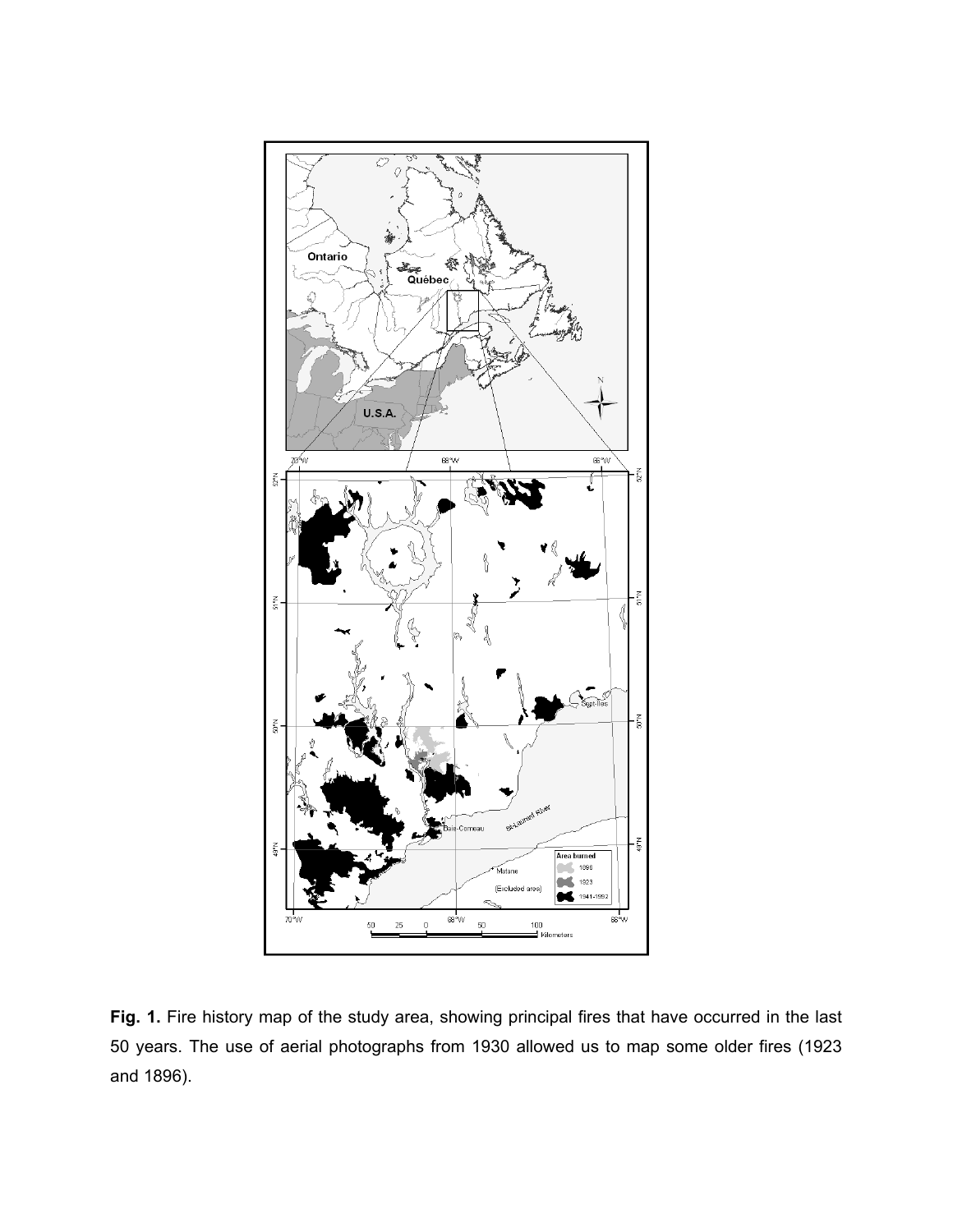

Fig. 1. Fire history map of the study area, showing principal fires that have occurred in the last 50 years. The use of aerial photographs from 1930 allowed us to map some older fires (1923 and 1896).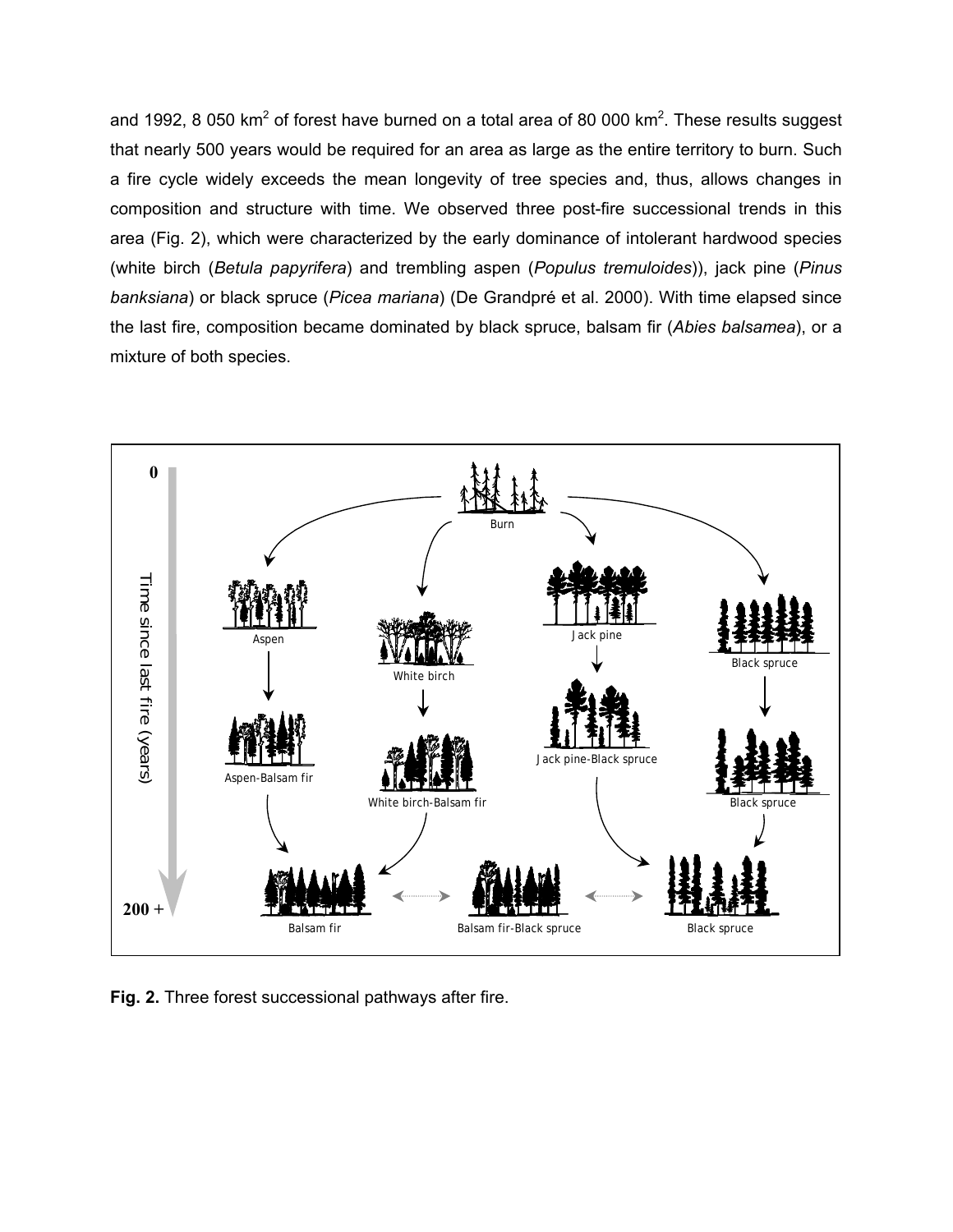and 1992, 8 050 km<sup>2</sup> of forest have burned on a total area of 80 000 km<sup>2</sup>. These results suggest that nearly 500 years would be required for an area as large as the entire territory to burn. Such a fire cycle widely exceeds the mean longevity of tree species and, thus, allows changes in composition and structure with time. We observed three post-fire successional trends in this area (Fig. 2), which were characterized by the early dominance of intolerant hardwood species (white birch (*Betula papyrifera*) and trembling aspen (*Populus tremuloides*)), jack pine (*Pinus banksiana*) or black spruce (*Picea mariana*) (De Grandpré et al. 2000). With time elapsed since the last fire, composition became dominated by black spruce, balsam fir (*Abies balsamea*), or a mixture of both species.



**Fig. 2.** Three forest successional pathways after fire.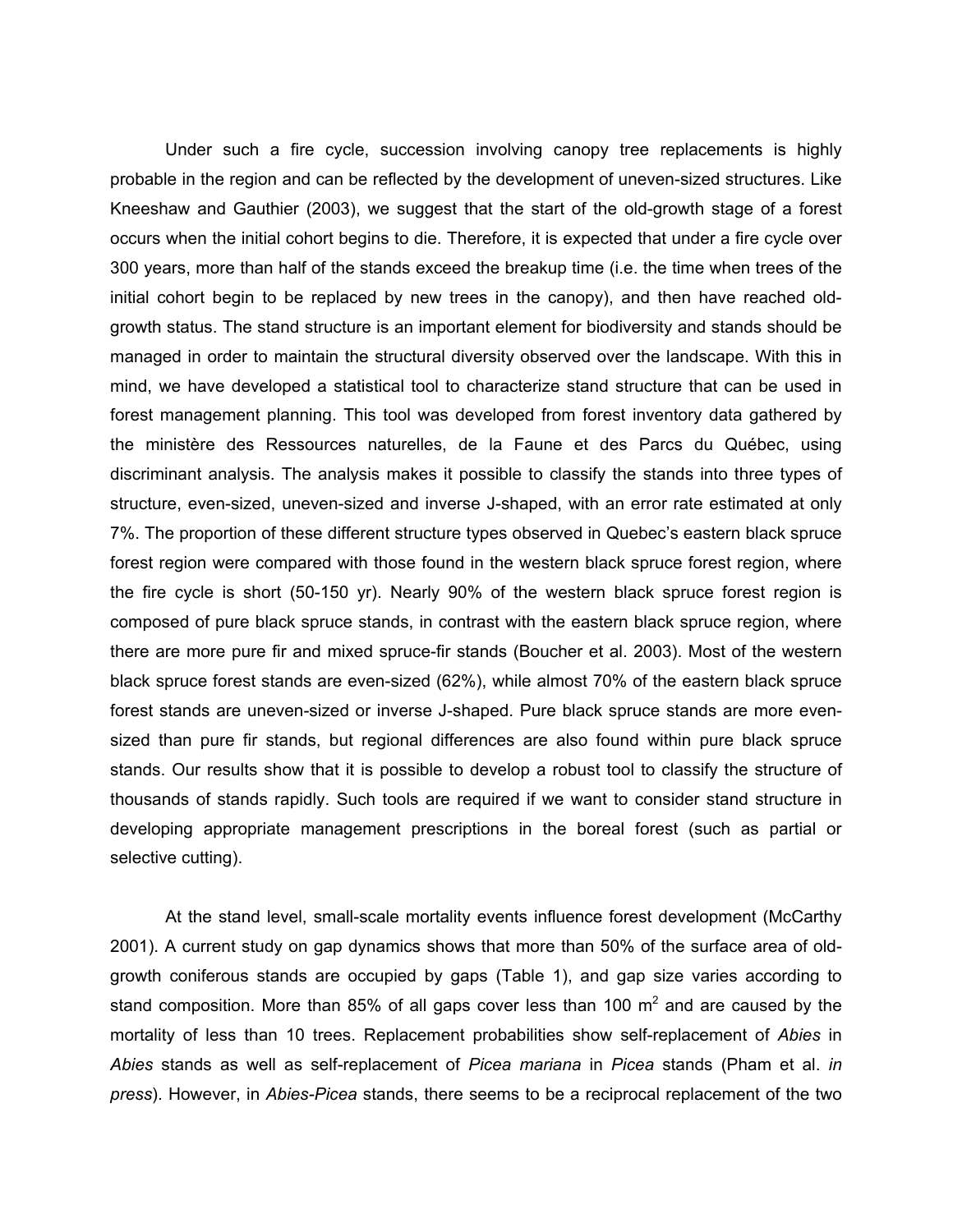Under such a fire cycle, succession involving canopy tree replacements is highly probable in the region and can be reflected by the development of uneven-sized structures. Like Kneeshaw and Gauthier (2003), we suggest that the start of the old-growth stage of a forest occurs when the initial cohort begins to die. Therefore, it is expected that under a fire cycle over 300 years, more than half of the stands exceed the breakup time (i.e. the time when trees of the initial cohort begin to be replaced by new trees in the canopy), and then have reached oldgrowth status. The stand structure is an important element for biodiversity and stands should be managed in order to maintain the structural diversity observed over the landscape. With this in mind, we have developed a statistical tool to characterize stand structure that can be used in forest management planning. This tool was developed from forest inventory data gathered by the ministère des Ressources naturelles, de la Faune et des Parcs du Québec, using discriminant analysis. The analysis makes it possible to classify the stands into three types of structure, even-sized, uneven-sized and inverse J-shaped, with an error rate estimated at only 7%. The proportion of these different structure types observed in Quebec's eastern black spruce forest region were compared with those found in the western black spruce forest region, where the fire cycle is short (50-150 yr). Nearly 90% of the western black spruce forest region is composed of pure black spruce stands, in contrast with the eastern black spruce region, where there are more pure fir and mixed spruce-fir stands (Boucher et al. 2003). Most of the western black spruce forest stands are even-sized (62%), while almost 70% of the eastern black spruce forest stands are uneven-sized or inverse J-shaped. Pure black spruce stands are more evensized than pure fir stands, but regional differences are also found within pure black spruce stands. Our results show that it is possible to develop a robust tool to classify the structure of thousands of stands rapidly. Such tools are required if we want to consider stand structure in developing appropriate management prescriptions in the boreal forest (such as partial or selective cutting).

At the stand level, small-scale mortality events influence forest development (McCarthy 2001). A current study on gap dynamics shows that more than 50% of the surface area of oldgrowth coniferous stands are occupied by gaps (Table 1), and gap size varies according to stand composition. More than 85% of all gaps cover less than 100  $m^2$  and are caused by the mortality of less than 10 trees. Replacement probabilities show self-replacement of *Abies* in *Abies* stands as well as self-replacement of *Picea mariana* in *Picea* stands (Pham et al. *in press*). However, in *Abies-Picea* stands, there seems to be a reciprocal replacement of the two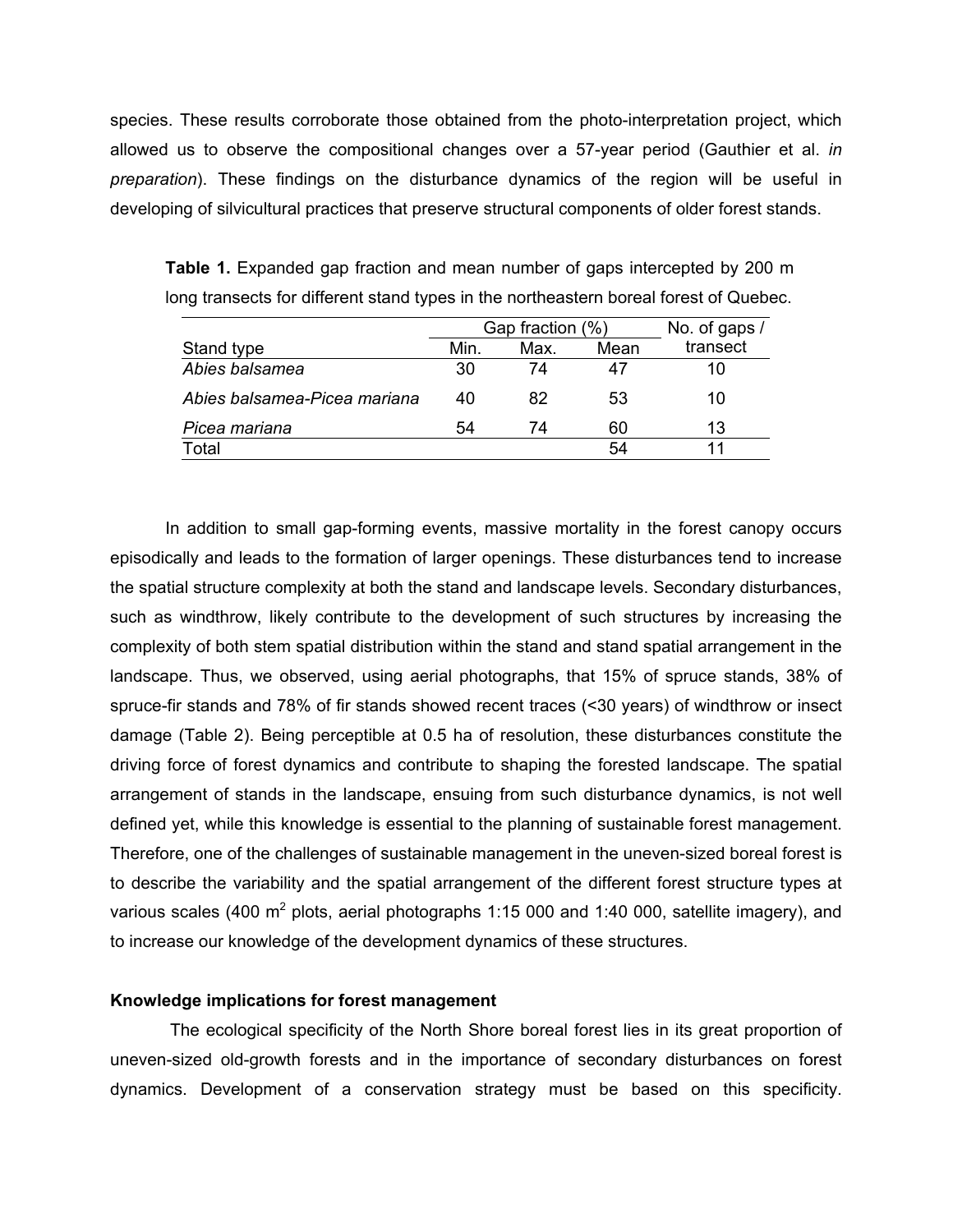species. These results corroborate those obtained from the photo-interpretation project, which allowed us to observe the compositional changes over a 57-year period (Gauthier et al. *in preparation*). These findings on the disturbance dynamics of the region will be useful in developing of silvicultural practices that preserve structural components of older forest stands.

|                              | Gap fraction (%) |      | No. of gaps / |          |
|------------------------------|------------------|------|---------------|----------|
| Stand type                   | Min.             | Max. | Mean          | transect |
| Abies balsamea               | 30               | 74   | 47            | 10       |
| Abies balsamea-Picea mariana | 40               | 82   | 53            | 10       |
| Picea mariana                | 54               | 74   | 60            | 13       |
| Total                        |                  |      | 54            |          |

**Table 1.** Expanded gap fraction and mean number of gaps intercepted by 200 m long transects for different stand types in the northeastern boreal forest of Quebec.

In addition to small gap-forming events, massive mortality in the forest canopy occurs episodically and leads to the formation of larger openings. These disturbances tend to increase the spatial structure complexity at both the stand and landscape levels. Secondary disturbances, such as windthrow, likely contribute to the development of such structures by increasing the complexity of both stem spatial distribution within the stand and stand spatial arrangement in the landscape. Thus, we observed, using aerial photographs, that 15% of spruce stands, 38% of spruce-fir stands and 78% of fir stands showed recent traces (<30 years) of windthrow or insect damage (Table 2). Being perceptible at 0.5 ha of resolution, these disturbances constitute the driving force of forest dynamics and contribute to shaping the forested landscape. The spatial arrangement of stands in the landscape, ensuing from such disturbance dynamics, is not well defined yet, while this knowledge is essential to the planning of sustainable forest management. Therefore, one of the challenges of sustainable management in the uneven-sized boreal forest is to describe the variability and the spatial arrangement of the different forest structure types at various scales (400  $m^2$  plots, aerial photographs 1:15 000 and 1:40 000, satellite imagery), and to increase our knowledge of the development dynamics of these structures.

# **Knowledge implications for forest management**

The ecological specificity of the North Shore boreal forest lies in its great proportion of uneven-sized old-growth forests and in the importance of secondary disturbances on forest dynamics. Development of a conservation strategy must be based on this specificity.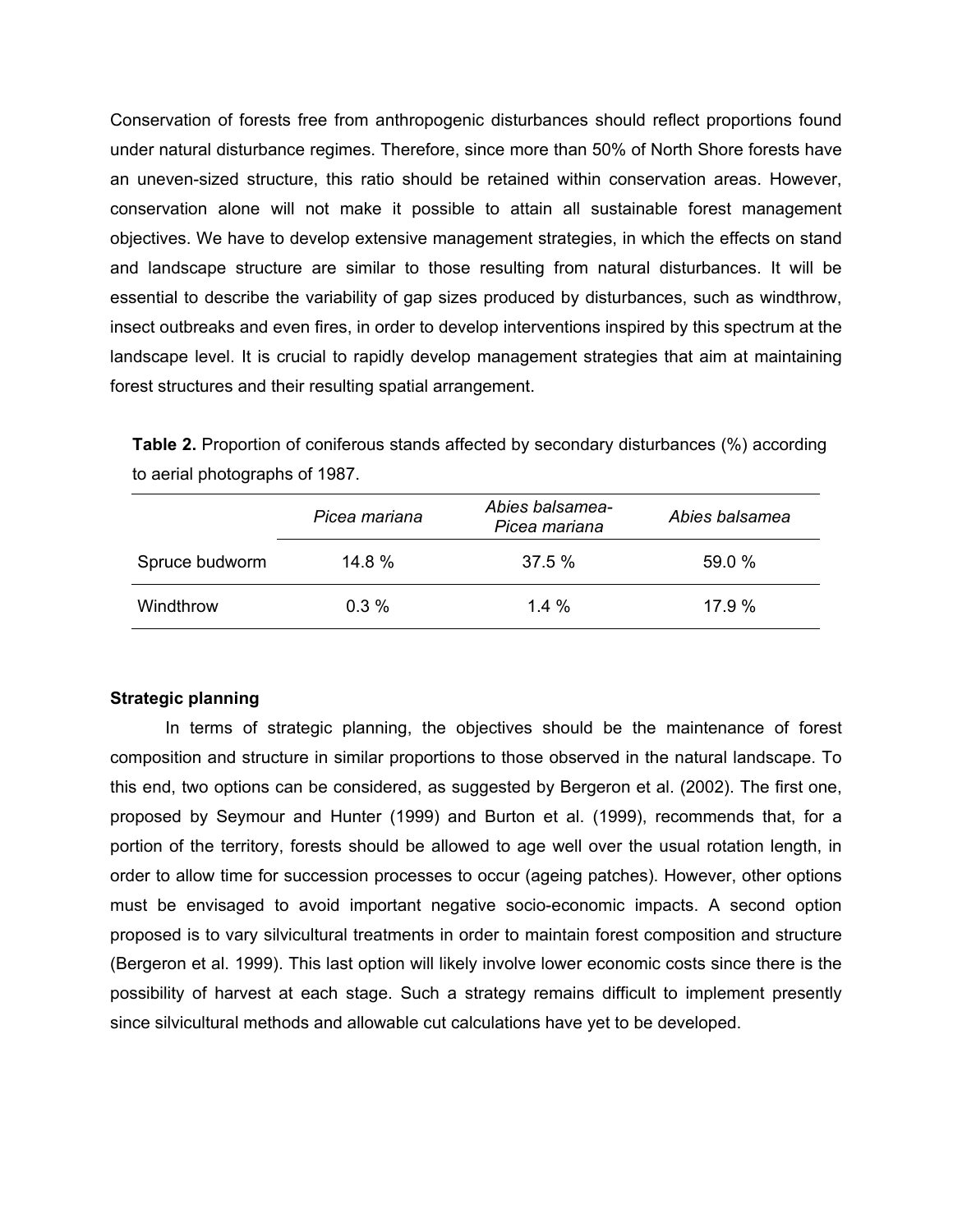Conservation of forests free from anthropogenic disturbances should reflect proportions found under natural disturbance regimes. Therefore, since more than 50% of North Shore forests have an uneven-sized structure, this ratio should be retained within conservation areas. However, conservation alone will not make it possible to attain all sustainable forest management objectives. We have to develop extensive management strategies, in which the effects on stand and landscape structure are similar to those resulting from natural disturbances. It will be essential to describe the variability of gap sizes produced by disturbances, such as windthrow, insect outbreaks and even fires, in order to develop interventions inspired by this spectrum at the landscape level. It is crucial to rapidly develop management strategies that aim at maintaining forest structures and their resulting spatial arrangement.

**Table 2.** Proportion of coniferous stands affected by secondary disturbances (%) according to aerial photographs of 1987.

|                | Picea mariana | Abies balsamea-<br>Picea mariana | Abies balsamea |
|----------------|---------------|----------------------------------|----------------|
| Spruce budworm | 14.8%         | $37.5\%$                         | 59.0%          |
| Windthrow      | $0.3\%$       | $1.4\%$                          | 17.9%          |

# **Strategic planning**

In terms of strategic planning, the objectives should be the maintenance of forest composition and structure in similar proportions to those observed in the natural landscape. To this end, two options can be considered, as suggested by Bergeron et al. (2002). The first one, proposed by Seymour and Hunter (1999) and Burton et al. (1999), recommends that, for a portion of the territory, forests should be allowed to age well over the usual rotation length, in order to allow time for succession processes to occur (ageing patches). However, other options must be envisaged to avoid important negative socio-economic impacts. A second option proposed is to vary silvicultural treatments in order to maintain forest composition and structure (Bergeron et al. 1999). This last option will likely involve lower economic costs since there is the possibility of harvest at each stage. Such a strategy remains difficult to implement presently since silvicultural methods and allowable cut calculations have yet to be developed.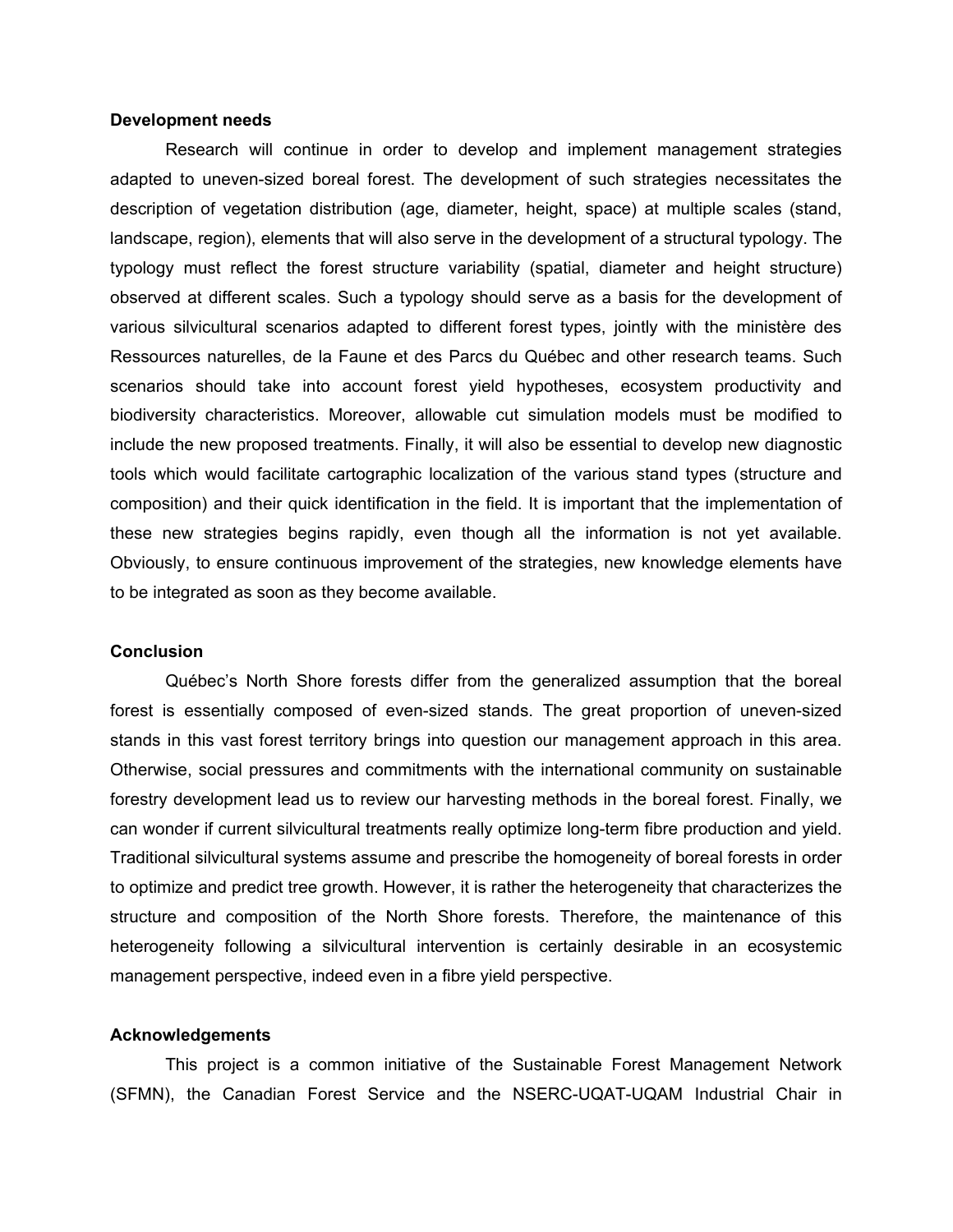### **Development needs**

Research will continue in order to develop and implement management strategies adapted to uneven-sized boreal forest. The development of such strategies necessitates the description of vegetation distribution (age, diameter, height, space) at multiple scales (stand, landscape, region), elements that will also serve in the development of a structural typology. The typology must reflect the forest structure variability (spatial, diameter and height structure) observed at different scales. Such a typology should serve as a basis for the development of various silvicultural scenarios adapted to different forest types, jointly with the ministère des Ressources naturelles, de la Faune et des Parcs du Québec and other research teams. Such scenarios should take into account forest yield hypotheses, ecosystem productivity and biodiversity characteristics. Moreover, allowable cut simulation models must be modified to include the new proposed treatments. Finally, it will also be essential to develop new diagnostic tools which would facilitate cartographic localization of the various stand types (structure and composition) and their quick identification in the field. It is important that the implementation of these new strategies begins rapidly, even though all the information is not yet available. Obviously, to ensure continuous improvement of the strategies, new knowledge elements have to be integrated as soon as they become available.

### **Conclusion**

Québec's North Shore forests differ from the generalized assumption that the boreal forest is essentially composed of even-sized stands. The great proportion of uneven-sized stands in this vast forest territory brings into question our management approach in this area. Otherwise, social pressures and commitments with the international community on sustainable forestry development lead us to review our harvesting methods in the boreal forest. Finally, we can wonder if current silvicultural treatments really optimize long-term fibre production and yield. Traditional silvicultural systems assume and prescribe the homogeneity of boreal forests in order to optimize and predict tree growth. However, it is rather the heterogeneity that characterizes the structure and composition of the North Shore forests. Therefore, the maintenance of this heterogeneity following a silvicultural intervention is certainly desirable in an ecosystemic management perspective, indeed even in a fibre yield perspective.

### **Acknowledgements**

This project is a common initiative of the Sustainable Forest Management Network (SFMN), the Canadian Forest Service and the NSERC-UQAT-UQAM Industrial Chair in